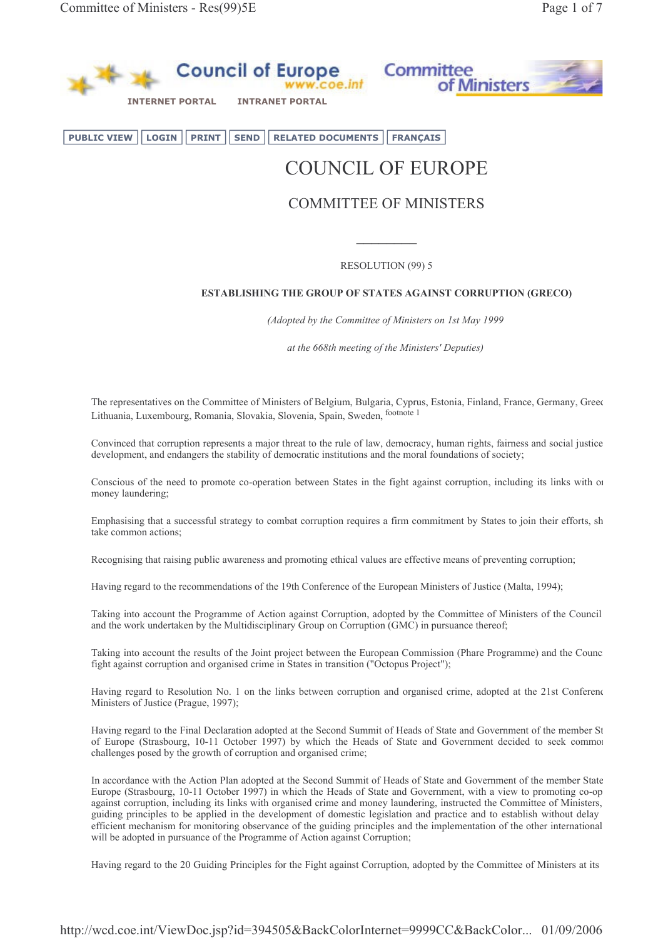

**PUBLIC VIEW LOGIN PRINT SEND RELATED DOCUMENTS FRANÇAIS** 

# COUNCIL OF EUROPE

# **COMMITTEE OF MINISTERS**

**RESOLUTION (99) 5** 

# ESTABLISHING THE GROUP OF STATES AGAINST CORRUPTION (GRECO)

(Adopted by the Committee of Ministers on 1st May 1999

at the 668th meeting of the Ministers' Deputies)

The representatives on the Committee of Ministers of Belgium, Bulgaria, Cyprus, Estonia, Finland, France, Germany, Greec Lithuania, Luxembourg, Romania, Slovakia, Slovenia, Spain, Sweden, footnote 1

Convinced that corruption represents a major threat to the rule of law, democracy, human rights, fairness and social justice development, and endangers the stability of democratic institutions and the moral foundations of society;

Conscious of the need to promote co-operation between States in the fight against corruption, including its links with or money laundering;

Emphasising that a successful strategy to combat corruption requires a firm commitment by States to join their efforts, sh take common actions;

Recognising that raising public awareness and promoting ethical values are effective means of preventing corruption;

Having regard to the recommendations of the 19th Conference of the European Ministers of Justice (Malta, 1994);

Taking into account the Programme of Action against Corruption, adopted by the Committee of Ministers of the Council and the work undertaken by the Multidisciplinary Group on Corruption (GMC) in pursuance thereof;

Taking into account the results of the Joint project between the European Commission (Phare Programme) and the Counc fight against corruption and organised crime in States in transition ("Octopus Project");

Having regard to Resolution No. 1 on the links between corruption and organised crime, adopted at the 21st Conference Ministers of Justice (Prague, 1997);

Having regard to the Final Declaration adopted at the Second Summit of Heads of State and Government of the member St of Europe (Strasbourg, 10-11 October 1997) by which the Heads of State and Government decided to seek common challenges posed by the growth of corruption and organised crime;

In accordance with the Action Plan adopted at the Second Summit of Heads of State and Government of the member State Europe (Strasbourg, 10-11 October 1997) in which the Heads of State and Government, with a view to promoting co-op against corruption, including its links with organised crime and money laundering, instructed the Committee of Ministers, guiding principles to be applied in the development of domestic legislation and practice and to establish without delay efficient mechanism for monitoring observance of the guiding principles and the implementation of the other international will be adopted in pursuance of the Programme of Action against Corruption;

Having regard to the 20 Guiding Principles for the Fight against Corruption, adopted by the Committee of Ministers at its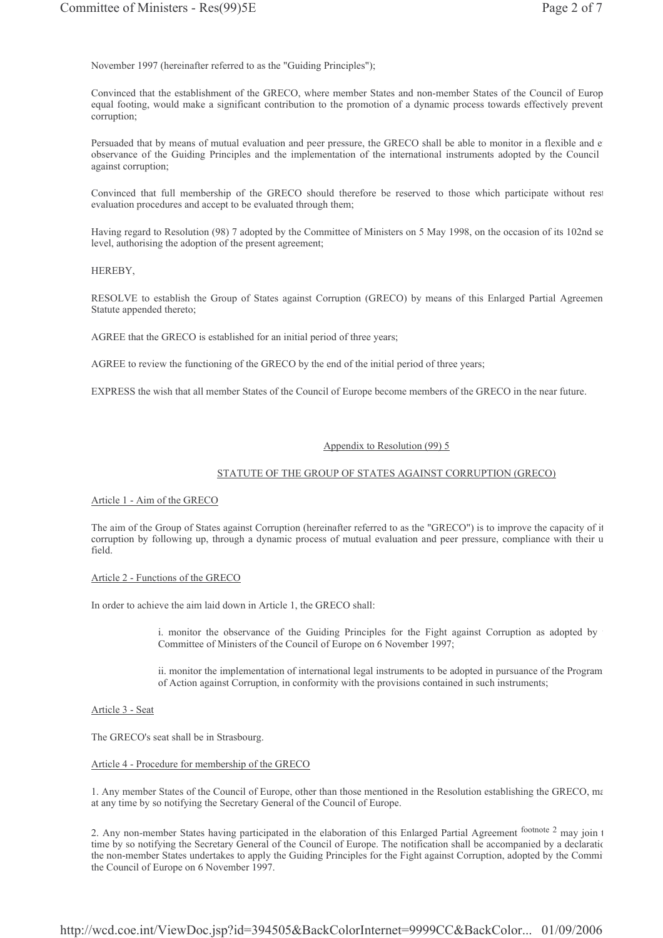November 1997 (hereinafter referred to as the "Guiding Principles");

Convinced that the establishment of the GRECO, where member States and non-member States of the Council of Europ equal footing, would make a significant contribution to the promotion of a dynamic process towards effectively prevent corruption;

Persuaded that by means of mutual evaluation and peer pressure, the GRECO shall be able to monitor in a flexible and e observance of the Guiding Principles and the implementation of the international instruments adopted by the Council against corruption;

Convinced that full membership of the GRECO should therefore be reserved to those which participate without rest evaluation procedures and accept to be evaluated through them;

Having regard to Resolution (98) 7 adopted by the Committee of Ministers on 5 May 1998, on the occasion of its 102nd se level, authorising the adoption of the present agreement;

HEREBY.

RESOLVE to establish the Group of States against Corruption (GRECO) by means of this Enlarged Partial Agreemen Statute appended thereto;

AGREE that the GRECO is established for an initial period of three years;

AGREE to review the functioning of the GRECO by the end of the initial period of three years;

EXPRESS the wish that all member States of the Council of Europe become members of the GRECO in the near future.

#### Appendix to Resolution (99) 5

#### STATUTE OF THE GROUP OF STATES AGAINST CORRUPTION (GRECO)

Article 1 - Aim of the GRECO

The aim of the Group of States against Corruption (hereinafter referred to as the "GRECO") is to improve the capacity of it corruption by following up, through a dynamic process of mutual evaluation and peer pressure, compliance with their u field.

#### Article 2 - Functions of the GRECO

In order to achieve the aim laid down in Article 1, the GRECO shall:

i. monitor the observance of the Guiding Principles for the Fight against Corruption as adopted by Committee of Ministers of the Council of Europe on 6 November 1997;

ii. monitor the implementation of international legal instruments to be adopted in pursuance of the Program of Action against Corruption, in conformity with the provisions contained in such instruments;

Article 3 - Seat

The GRECO's seat shall be in Strasbourg.

#### Article 4 - Procedure for membership of the GRECO

1. Any member States of the Council of Europe, other than those mentioned in the Resolution establishing the GRECO, ma at any time by so notifying the Secretary General of the Council of Europe.

2. Any non-member States having participated in the elaboration of this Enlarged Partial Agreement footnote 2 may join t time by so notifying the Secretary General of the Council of Europe. The notification shall be accompanied by a declaration the non-member States undertakes to apply the Guiding Principles for the Fight against Corruption, adopted by the Commi the Council of Europe on 6 November 1997.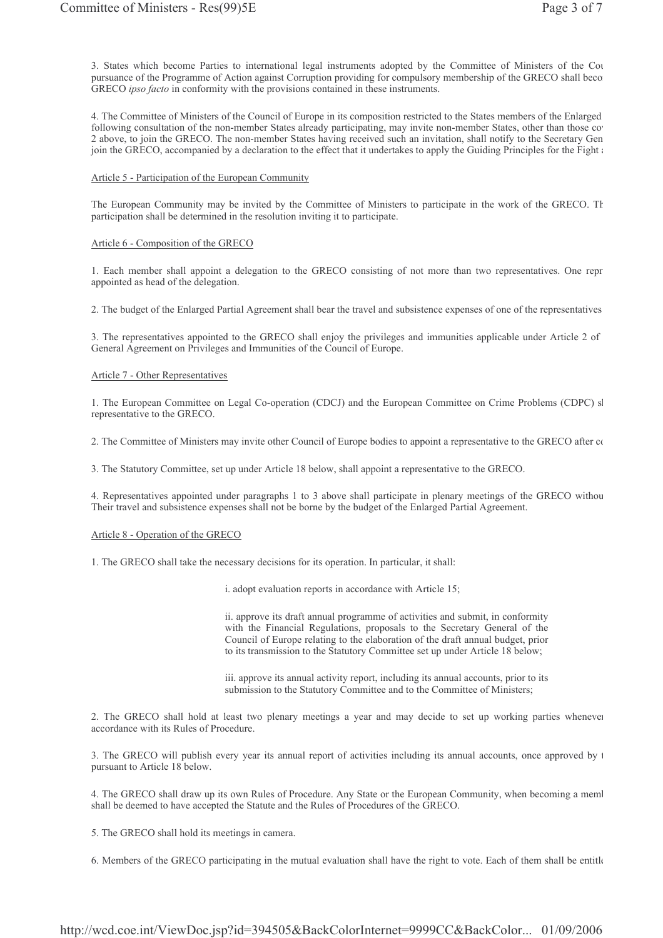3. States which become Parties to international legal instruments adopted by the Committee of Ministers of the Cou pursuance of the Programme of Action against Corruption providing for compulsory membership of the GRECO shall beco GRECO ipso facto in conformity with the provisions contained in these instruments.

4. The Committee of Ministers of the Council of Europe in its composition restricted to the States members of the Enlarged following consultation of the non-member States already participating, may invite non-member States, other than those co-2 above, to join the GRECO. The non-member States having received such an invitation, shall notify to the Secretary Gen join the GRECO, accompanied by a declaration to the effect that it undertakes to apply the Guiding Principles for the Fight and

#### Article 5 - Participation of the European Community

The European Community may be invited by the Committee of Ministers to participate in the work of the GRECO. The participation shall be determined in the resolution inviting it to participate.

#### Article 6 - Composition of the GRECO

1. Each member shall appoint a delegation to the GRECO consisting of not more than two representatives. One repr appointed as head of the delegation.

2. The budget of the Enlarged Partial Agreement shall bear the travel and subsistence expenses of one of the representatives

3. The representatives appointed to the GRECO shall enjoy the privileges and immunities applicable under Article 2 of General Agreement on Privileges and Immunities of the Council of Europe.

#### Article 7 - Other Representatives

1. The European Committee on Legal Co-operation (CDCJ) and the European Committee on Crime Problems (CDPC) sl representative to the GRECO.

2. The Committee of Ministers may invite other Council of Europe bodies to appoint a representative to the GRECO after co

3. The Statutory Committee, set up under Article 18 below, shall appoint a representative to the GRECO.

4. Representatives appointed under paragraphs 1 to 3 above shall participate in plenary meetings of the GRECO withou Their travel and subsistence expenses shall not be borne by the budget of the Enlarged Partial Agreement.

#### Article 8 - Operation of the GRECO

1. The GRECO shall take the necessary decisions for its operation. In particular, it shall:

i. adopt evaluation reports in accordance with Article 15;

ii. approve its draft annual programme of activities and submit, in conformity with the Financial Regulations, proposals to the Secretary General of the Council of Europe relating to the elaboration of the draft annual budget, prior to its transmission to the Statutory Committee set up under Article 18 below;

iii. approve its annual activity report, including its annual accounts, prior to its submission to the Statutory Committee and to the Committee of Ministers;

2. The GRECO shall hold at least two plenary meetings a year and may decide to set up working parties whenever accordance with its Rules of Procedure.

3. The GRECO will publish every year its annual report of activities including its annual accounts, once approved by 1 pursuant to Article 18 below.

4. The GRECO shall draw up its own Rules of Procedure. Any State or the European Community, when becoming a meml shall be deemed to have accepted the Statute and the Rules of Procedures of the GRECO.

5. The GRECO shall hold its meetings in camera.

6. Members of the GRECO participating in the mutual evaluation shall have the right to vote. Each of them shall be entitle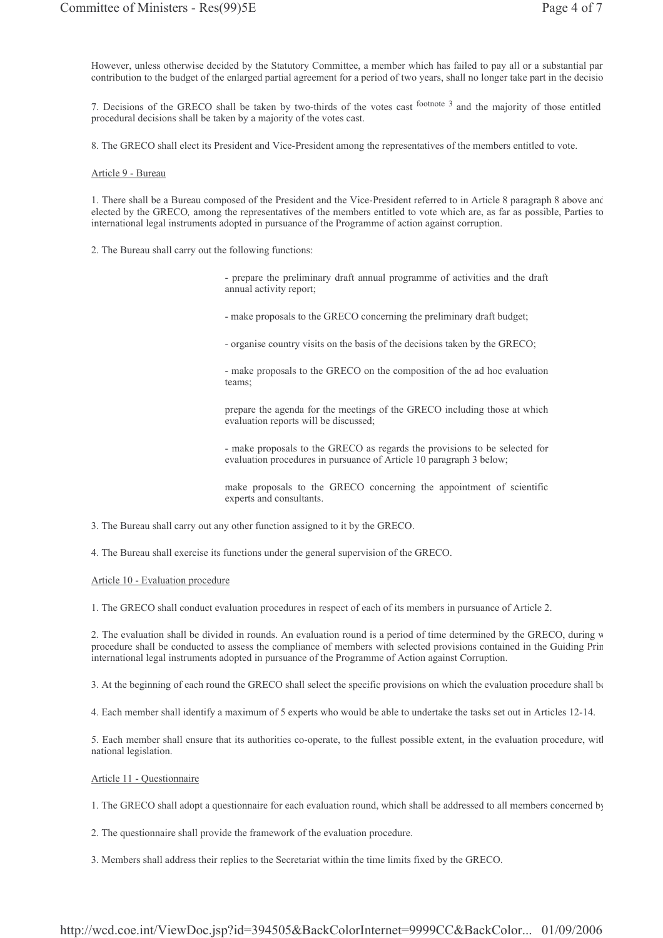However, unless otherwise decided by the Statutory Committee, a member which has failed to pay all or a substantial par contribution to the budget of the enlarged partial agreement for a period of two years, shall no longer take part in the decisio

7. Decisions of the GRECO shall be taken by two-thirds of the votes cast footnote 3 and the majority of those entitled procedural decisions shall be taken by a majority of the votes cast.

8. The GRECO shall elect its President and Vice-President among the representatives of the members entitled to vote.

#### Article 9 - Bureau

1. There shall be a Bureau composed of the President and the Vice-President referred to in Article 8 paragraph 8 above and elected by the GRECO, among the representatives of the members entitled to vote which are, as far as possible, Parties to international legal instruments adopted in pursuance of the Programme of action against corruption.

2. The Bureau shall carry out the following functions:

- prepare the preliminary draft annual programme of activities and the draft annual activity report;

- make proposals to the GRECO concerning the preliminary draft budget;

- organise country visits on the basis of the decisions taken by the GRECO;

- make proposals to the GRECO on the composition of the ad hoc evaluation teams:

prepare the agenda for the meetings of the GRECO including those at which evaluation reports will be discussed;

- make proposals to the GRECO as regards the provisions to be selected for evaluation procedures in pursuance of Article 10 paragraph 3 below;

make proposals to the GRECO concerning the appointment of scientific experts and consultants.

3. The Bureau shall carry out any other function assigned to it by the GRECO.

4. The Bureau shall exercise its functions under the general supervision of the GRECO.

#### Article 10 - Evaluation procedure

1. The GRECO shall conduct evaluation procedures in respect of each of its members in pursuance of Article 2.

2. The evaluation shall be divided in rounds. An evaluation round is a period of time determined by the GRECO, during w procedure shall be conducted to assess the compliance of members with selected provisions contained in the Guiding Prin international legal instruments adopted in pursuance of the Programme of Action against Corruption.

3. At the beginning of each round the GRECO shall select the specific provisions on which the evaluation procedure shall be

4. Each member shall identify a maximum of 5 experts who would be able to undertake the tasks set out in Articles 12-14.

5. Each member shall ensure that its authorities co-operate, to the fullest possible extent, in the evaluation procedure, witl national legislation.

#### Article 11 - Ouestionnaire

1. The GRECO shall adopt a questionnaire for each evaluation round, which shall be addressed to all members concerned by

2. The questionnaire shall provide the framework of the evaluation procedure.

3. Members shall address their replies to the Secretariat within the time limits fixed by the GRECO.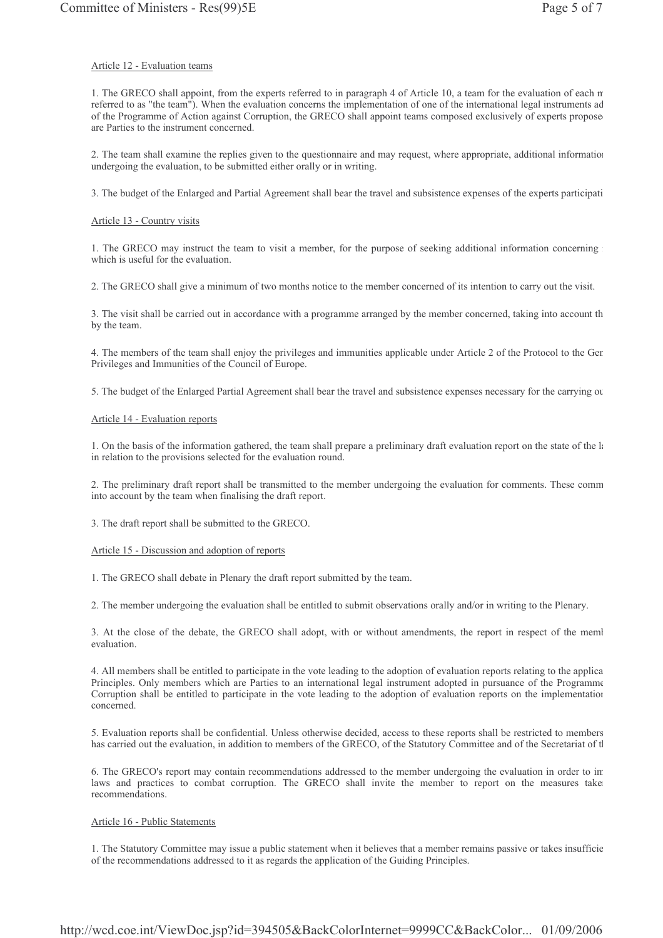## Article 12 - Evaluation teams

1. The GRECO shall appoint, from the experts referred to in paragraph 4 of Article 10, a team for the evaluation of each m referred to as "the team"). When the evaluation concerns the implementation of one of the international legal instruments ad of the Programme of Action against Corruption, the GRECO shall appoint teams composed exclusively of experts propose are Parties to the instrument concerned.

2. The team shall examine the replies given to the questionnaire and may request, where appropriate, additional information undergoing the evaluation, to be submitted either orally or in writing.

3. The budget of the Enlarged and Partial Agreement shall bear the travel and subsistence expenses of the experts participati

## Article 13 - Country visits

1. The GRECO may instruct the team to visit a member, for the purpose of seeking additional information concerning which is useful for the evaluation.

2. The GRECO shall give a minimum of two months notice to the member concerned of its intention to carry out the visit.

3. The visit shall be carried out in accordance with a programme arranged by the member concerned, taking into account th by the team.

4. The members of the team shall enjoy the privileges and immunities applicable under Article 2 of the Protocol to the Ger Privileges and Immunities of the Council of Europe.

5. The budget of the Enlarged Partial Agreement shall bear the travel and subsistence expenses necessary for the carrying or

# Article 14 - Evaluation reports

1. On the basis of the information gathered, the team shall prepare a preliminary draft evaluation report on the state of the la in relation to the provisions selected for the evaluation round.

2. The preliminary draft report shall be transmitted to the member undergoing the evaluation for comments. These comm into account by the team when finalising the draft report.

3. The draft report shall be submitted to the GRECO.

# Article 15 - Discussion and adoption of reports

1. The GRECO shall debate in Plenary the draft report submitted by the team.

2. The member undergoing the evaluation shall be entitled to submit observations orally and/or in writing to the Plenary.

3. At the close of the debate, the GRECO shall adopt, with or without amendments, the report in respect of the meml evaluation.

4. All members shall be entitled to participate in the vote leading to the adoption of evaluation reports relating to the applica Principles. Only members which are Parties to an international legal instrument adopted in pursuance of the Programme Corruption shall be entitled to participate in the vote leading to the adoption of evaluation reports on the implementation concerned.

5. Evaluation reports shall be confidential. Unless otherwise decided, access to these reports shall be restricted to members has carried out the evaluation, in addition to members of the GRECO, of the Statutory Committee and of the Secretariat of tl

6. The GRECO's report may contain recommendations addressed to the member undergoing the evaluation in order to in laws and practices to combat corruption. The GRECO shall invite the member to report on the measures take recommendations.

# Article 16 - Public Statements

1. The Statutory Committee may issue a public statement when it believes that a member remains passive or takes insufficie of the recommendations addressed to it as regards the application of the Guiding Principles.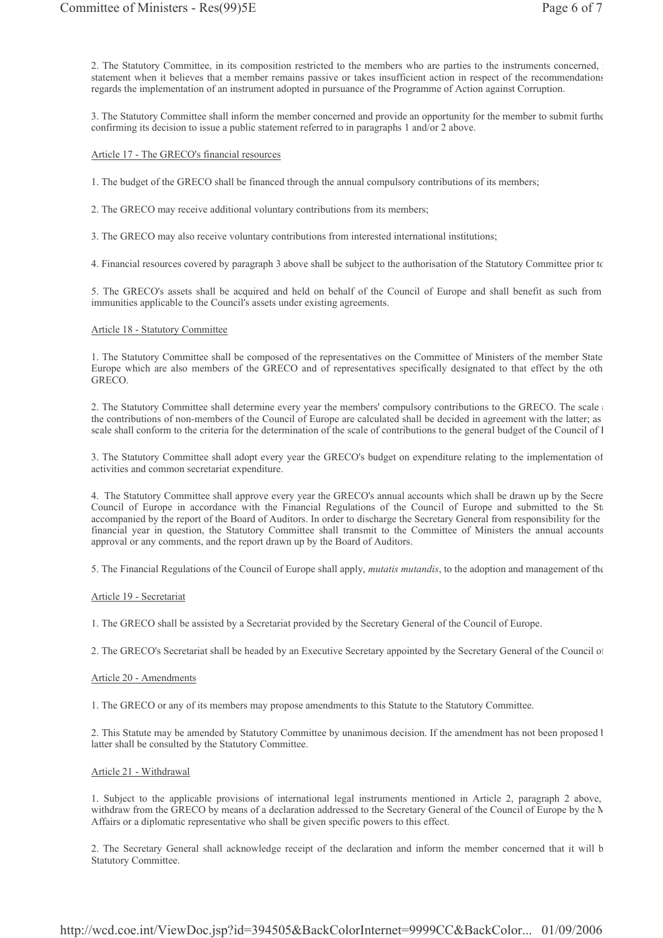2. The Statutory Committee, in its composition restricted to the members who are parties to the instruments concerned, statement when it believes that a member remains passive or takes insufficient action in respect of the recommendations regards the implementation of an instrument adopted in pursuance of the Programme of Action against Corruption.

3. The Statutory Committee shall inform the member concerned and provide an opportunity for the member to submit further confirming its decision to issue a public statement referred to in paragraphs 1 and/or 2 above.

#### Article 17 - The GRECO's financial resources

1. The budget of the GRECO shall be financed through the annual compulsory contributions of its members;

2. The GRECO may receive additional voluntary contributions from its members;

3. The GRECO may also receive voluntary contributions from interested international institutions;

4. Financial resources covered by paragraph 3 above shall be subject to the authorisation of the Statutory Committee prior to

5. The GRECO's assets shall be acquired and held on behalf of the Council of Europe and shall benefit as such from immunities applicable to the Council's assets under existing agreements.

#### Article 18 - Statutory Committee

1. The Statutory Committee shall be composed of the representatives on the Committee of Ministers of the member State Europe which are also members of the GRECO and of representatives specifically designated to that effect by the oth GRECO.

2. The Statutory Committee shall determine every year the members' compulsory contributions to the GRECO. The scale the contributions of non-members of the Council of Europe are calculated shall be decided in agreement with the latter; as scale shall conform to the criteria for the determination of the scale of contributions to the general budget of the Council of l

3. The Statutory Committee shall adopt every year the GRECO's budget on expenditure relating to the implementation of activities and common secretariat expenditure.

4. The Statutory Committee shall approve every year the GRECO's annual accounts which shall be drawn up by the Secre Council of Europe in accordance with the Financial Regulations of the Council of Europe and submitted to the St. accompanied by the report of the Board of Auditors. In order to discharge the Secretary General from responsibility for the financial year in question, the Statutory Committee shall transmit to the Committee of Ministers the annual accounts approval or any comments, and the report drawn up by the Board of Auditors.

5. The Financial Regulations of the Council of Europe shall apply, *mutatis mutandis*, to the adoption and management of the

#### Article 19 - Secretariat

1. The GRECO shall be assisted by a Secretariat provided by the Secretary General of the Council of Europe.

2. The GRECO's Secretariat shall be headed by an Executive Secretary appointed by the Secretary General of the Council of

#### Article 20 - Amendments

1. The GRECO or any of its members may propose amendments to this Statute to the Statutory Committee.

2. This Statute may be amended by Statutory Committee by unanimous decision. If the amendment has not been proposed l latter shall be consulted by the Statutory Committee.

#### Article 21 - Withdrawal

1. Subject to the applicable provisions of international legal instruments mentioned in Article 2, paragraph 2 above, withdraw from the GRECO by means of a declaration addressed to the Secretary General of the Council of Europe by the N Affairs or a diplomatic representative who shall be given specific powers to this effect.

2. The Secretary General shall acknowledge receipt of the declaration and inform the member concerned that it will b Statutory Committee.